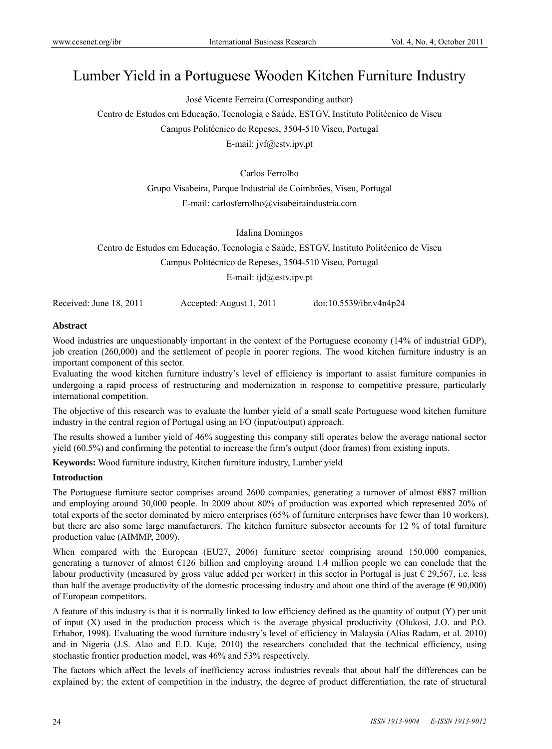# Lumber Yield in a Portuguese Wooden Kitchen Furniture Industry

José Vicente Ferreira (Corresponding author)

Centro de Estudos em Educação, Tecnologia e Saúde, ESTGV, Instituto Politécnico de Viseu Campus Politécnico de Repeses, 3504-510 Viseu, Portugal

E-mail: jvf@estv.ipv.pt

Carlos Ferrolho

Grupo Visabeira, Parque Industrial de Coimbrões, Viseu, Portugal E-mail: carlosferrolho@visabeiraindustria.com

Idalina Domingos

Centro de Estudos em Educação, Tecnologia e Saúde, ESTGV, Instituto Politécnico de Viseu

Campus Politécnico de Repeses, 3504-510 Viseu, Portugal

E-mail: ijd@estv.ipv.pt

Received: June 18, 2011 Accepted: August 1, 2011 doi:10.5539/ibr.v4n4p24

## **Abstract**

Wood industries are unquestionably important in the context of the Portuguese economy (14% of industrial GDP), job creation (260,000) and the settlement of people in poorer regions. The wood kitchen furniture industry is an important component of this sector.

Evaluating the wood kitchen furniture industry's level of efficiency is important to assist furniture companies in undergoing a rapid process of restructuring and modernization in response to competitive pressure, particularly international competition.

The objective of this research was to evaluate the lumber yield of a small scale Portuguese wood kitchen furniture industry in the central region of Portugal using an I/O (input/output) approach.

The results showed a lumber yield of 46% suggesting this company still operates below the average national sector yield (60.5%) and confirming the potential to increase the firm's output (door frames) from existing inputs.

**Keywords:** Wood furniture industry, Kitchen furniture industry, Lumber yield

## **Introduction**

The Portuguese furniture sector comprises around 2600 companies, generating a turnover of almost €887 million and employing around 30,000 people. In 2009 about 80% of production was exported which represented 20% of total exports of the sector dominated by micro enterprises (65% of furniture enterprises have fewer than 10 workers), but there are also some large manufacturers. The kitchen furniture subsector accounts for 12 % of total furniture production value (AIMMP, 2009).

When compared with the European (EU27, 2006) furniture sector comprising around 150,000 companies, generating a turnover of almost €126 billion and employing around 1.4 million people we can conclude that the labour productivity (measured by gross value added per worker) in this sector in Portugal is just  $\epsilon$  29,567, i.e. less than half the average productivity of the domestic processing industry and about one third of the average ( $\epsilon$  90,000) of European competitors.

A feature of this industry is that it is normally linked to low efficiency defined as the quantity of output (Y) per unit of input (X) used in the production process which is the average physical productivity (Olukosi, J.O. and P.O. Erhabor, 1998). Evaluating the wood furniture industry's level of efficiency in Malaysia (Alias Radam, et al. 2010) and in Nigeria (J.S. Alao and E.D. Kuje, 2010) the researchers concluded that the technical efficiency, using stochastic frontier production model, was 46% and 53% respectively.

The factors which affect the levels of inefficiency across industries reveals that about half the differences can be explained by: the extent of competition in the industry, the degree of product differentiation, the rate of structural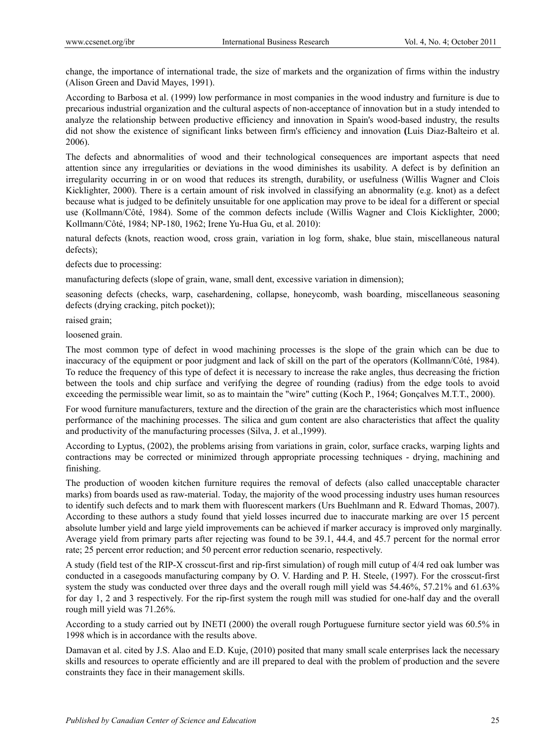change, the importance of international trade, the size of markets and the organization of firms within the industry (Alison Green and David Mayes, 1991).

According to Barbosa et al. (1999) low performance in most companies in the wood industry and furniture is due to precarious industrial organization and the cultural aspects of non-acceptance of innovation but in a study intended to analyze the relationship between productive efficiency and innovation in Spain's wood-based industry, the results did not show the existence of significant links between firm's efficiency and innovation **(**Luis Diaz-Balteiro et al. 2006).

The defects and abnormalities of wood and their technological consequences are important aspects that need attention since any irregularities or deviations in the wood diminishes its usability. A defect is by definition an irregularity occurring in or on wood that reduces its strength, durability, or usefulness (Willis Wagner and Clois Kicklighter, 2000). There is a certain amount of risk involved in classifying an abnormality (e.g. knot) as a defect because what is judged to be definitely unsuitable for one application may prove to be ideal for a different or special use (Kollmann/Côté, 1984). Some of the common defects include (Willis Wagner and Clois Kicklighter, 2000; Kollmann/Côté, 1984; NP-180, 1962; Irene Yu-Hua Gu, et al. 2010):

natural defects (knots, reaction wood, cross grain, variation in log form, shake, blue stain, miscellaneous natural defects);

defects due to processing:

manufacturing defects (slope of grain, wane, small dent, excessive variation in dimension);

seasoning defects (checks, warp, casehardening, collapse, honeycomb, wash boarding, miscellaneous seasoning defects (drying cracking, pitch pocket));

raised grain;

loosened grain.

The most common type of defect in wood machining processes is the slope of the grain which can be due to inaccuracy of the equipment or poor judgment and lack of skill on the part of the operators (Kollmann/Côté, 1984). To reduce the frequency of this type of defect it is necessary to increase the rake angles, thus decreasing the friction between the tools and chip surface and verifying the degree of rounding (radius) from the edge tools to avoid exceeding the permissible wear limit, so as to maintain the "wire" cutting (Koch P., 1964; Gonçalves M.T.T., 2000).

For wood furniture manufacturers, texture and the direction of the grain are the characteristics which most influence performance of the machining processes. The silica and gum content are also characteristics that affect the quality and productivity of the manufacturing processes (Silva, J. et al.,1999).

According to Lyptus, (2002), the problems arising from variations in grain, color, surface cracks, warping lights and contractions may be corrected or minimized through appropriate processing techniques - drying, machining and finishing.

The production of wooden kitchen furniture requires the removal of defects (also called unacceptable character marks) from boards used as raw-material. Today, the majority of the wood processing industry uses human resources to identify such defects and to mark them with fluorescent markers (Urs Buehlmann and R. Edward Thomas, 2007). According to these authors a study found that yield losses incurred due to inaccurate marking are over 15 percent absolute lumber yield and large yield improvements can be achieved if marker accuracy is improved only marginally. Average yield from primary parts after rejecting was found to be 39.1, 44.4, and 45.7 percent for the normal error rate; 25 percent error reduction; and 50 percent error reduction scenario, respectively.

A study (field test of the RIP-X crosscut-first and rip-first simulation) of rough mill cutup of 4/4 red oak lumber was conducted in a casegoods manufacturing company by O. V. Harding and P. H. Steele, (1997). For the crosscut-first system the study was conducted over three days and the overall rough mill yield was 54.46%, 57.21% and 61.63% for day 1, 2 and 3 respectively. For the rip-first system the rough mill was studied for one-half day and the overall rough mill yield was 71.26%.

According to a study carried out by INETI (2000) the overall rough Portuguese furniture sector yield was 60.5% in 1998 which is in accordance with the results above.

Damavan et al. cited by J.S. Alao and E.D. Kuje, (2010) posited that many small scale enterprises lack the necessary skills and resources to operate efficiently and are ill prepared to deal with the problem of production and the severe constraints they face in their management skills.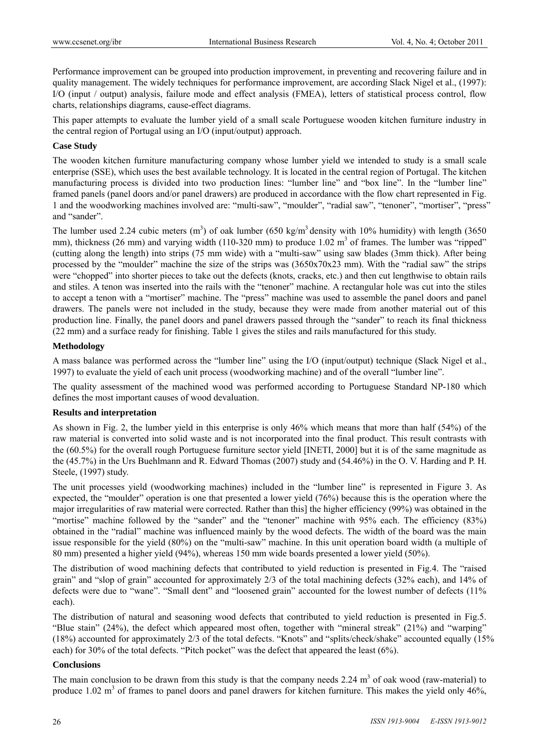Performance improvement can be grouped into production improvement, in preventing and recovering failure and in quality management. The widely techniques for performance improvement, are according Slack Nigel et al., (1997): I/O (input / output) analysis, failure mode and effect analysis (FMEA), letters of statistical process control, flow charts, relationships diagrams, cause-effect diagrams.

This paper attempts to evaluate the lumber yield of a small scale Portuguese wooden kitchen furniture industry in the central region of Portugal using an I/O (input/output) approach.

### **Case Study**

The wooden kitchen furniture manufacturing company whose lumber yield we intended to study is a small scale enterprise (SSE), which uses the best available technology. It is located in the central region of Portugal. The kitchen manufacturing process is divided into two production lines: "lumber line" and "box line". In the "lumber line" framed panels (panel doors and/or panel drawers) are produced in accordance with the flow chart represented in Fig. 1 and the woodworking machines involved are: "multi-saw", "moulder", "radial saw", "tenoner", "mortiser", "press" and "sander".

The lumber used 2.24 cubic meters  $(m^3)$  of oak lumber (650 kg/m<sup>3</sup> density with 10% humidity) with length (3650 mm), thickness (26 mm) and varying width (110-320 mm) to produce  $1.02 \text{ m}^3$  of frames. The lumber was "ripped" (cutting along the length) into strips (75 mm wide) with a "multi-saw" using saw blades (3mm thick). After being processed by the "moulder" machine the size of the strips was (3650x70x23 mm). With the "radial saw" the strips were "chopped" into shorter pieces to take out the defects (knots, cracks, etc.) and then cut lengthwise to obtain rails and stiles. A tenon was inserted into the rails with the "tenoner" machine. A rectangular hole was cut into the stiles to accept a tenon with a "mortiser" machine. The "press" machine was used to assemble the panel doors and panel drawers. The panels were not included in the study, because they were made from another material out of this production line. Finally, the panel doors and panel drawers passed through the "sander" to reach its final thickness (22 mm) and a surface ready for finishing. Table 1 gives the stiles and rails manufactured for this study.

#### **Methodology**

A mass balance was performed across the "lumber line" using the I/O (input/output) technique (Slack Nigel et al., 1997) to evaluate the yield of each unit process (woodworking machine) and of the overall "lumber line".

The quality assessment of the machined wood was performed according to Portuguese Standard NP-180 which defines the most important causes of wood devaluation.

#### **Results and interpretation**

As shown in Fig. 2, the lumber yield in this enterprise is only 46% which means that more than half (54%) of the raw material is converted into solid waste and is not incorporated into the final product. This result contrasts with the (60.5%) for the overall rough Portuguese furniture sector yield [INETI, 2000] but it is of the same magnitude as the (45.7%) in the Urs Buehlmann and R. Edward Thomas (2007) study and (54.46%) in the O. V. Harding and P. H. Steele, (1997) study.

The unit processes yield (woodworking machines) included in the "lumber line" is represented in Figure 3. As expected, the "moulder" operation is one that presented a lower yield (76%) because this is the operation where the major irregularities of raw material were corrected. Rather than this] the higher efficiency (99%) was obtained in the "mortise" machine followed by the "sander" and the "tenoner" machine with 95% each. The efficiency (83%) obtained in the "radial" machine was influenced mainly by the wood defects. The width of the board was the main issue responsible for the yield (80%) on the "multi-saw" machine. In this unit operation board width (a multiple of 80 mm) presented a higher yield (94%), whereas 150 mm wide boards presented a lower yield (50%).

The distribution of wood machining defects that contributed to yield reduction is presented in Fig.4. The "raised grain" and "slop of grain" accounted for approximately 2/3 of the total machining defects (32% each), and 14% of defects were due to "wane". "Small dent" and "loosened grain" accounted for the lowest number of defects (11% each).

The distribution of natural and seasoning wood defects that contributed to yield reduction is presented in Fig.5. "Blue stain" (24%), the defect which appeared most often, together with "mineral streak" (21%) and "warping" (18%) accounted for approximately 2/3 of the total defects. "Knots" and "splits/check/shake" accounted equally (15% each) for 30% of the total defects. "Pitch pocket" was the defect that appeared the least (6%).

#### **Conclusions**

The main conclusion to be drawn from this study is that the company needs 2.24  $m<sup>3</sup>$  of oak wood (raw-material) to produce 1.02  $m<sup>3</sup>$  of frames to panel doors and panel drawers for kitchen furniture. This makes the yield only 46%,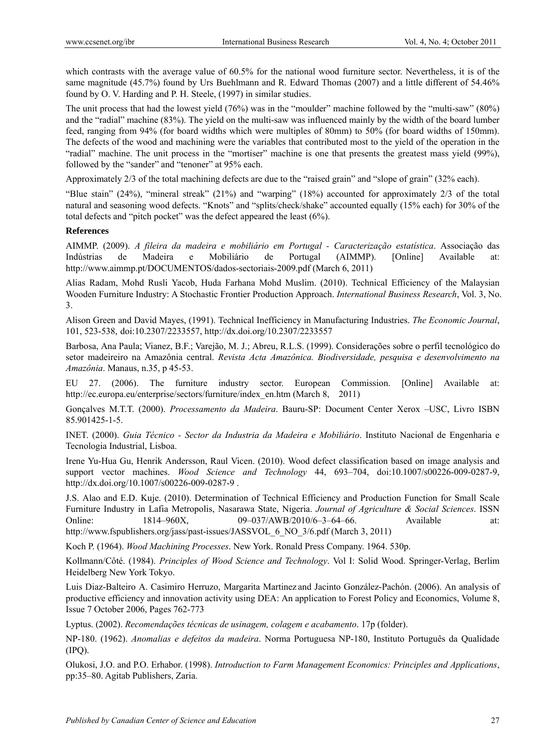which contrasts with the average value of 60.5% for the national wood furniture sector. Nevertheless, it is of the same magnitude (45.7%) found by Urs Buehlmann and R. Edward Thomas (2007) and a little different of 54.46% found by O. V. Harding and P. H. Steele, (1997) in similar studies.

The unit process that had the lowest yield (76%) was in the "moulder" machine followed by the "multi-saw" (80%) and the "radial" machine (83%). The yield on the multi-saw was influenced mainly by the width of the board lumber feed, ranging from 94% (for board widths which were multiples of 80mm) to 50% (for board widths of 150mm). The defects of the wood and machining were the variables that contributed most to the yield of the operation in the "radial" machine. The unit process in the "mortiser" machine is one that presents the greatest mass yield (99%), followed by the "sander" and "tenoner" at 95% each.

Approximately 2/3 of the total machining defects are due to the "raised grain" and "slope of grain" (32% each).

"Blue stain" (24%), "mineral streak" (21%) and "warping" (18%) accounted for approximately 2/3 of the total natural and seasoning wood defects. "Knots" and "splits/check/shake" accounted equally (15% each) for 30% of the total defects and "pitch pocket" was the defect appeared the least (6%).

## **References**

AIMMP. (2009). *A fileira da madeira e mobiliário em Portugal - Caracterização estatística*. Associação das Indústrias de Madeira e Mobiliário de Portugal (AIMMP). [Online] Available at: http://www.aimmp.pt/DOCUMENTOS/dados-sectoriais-2009.pdf (March 6, 2011)

Alias Radam, Mohd Rusli Yacob, Huda Farhana Mohd Muslim. (2010). Technical Efficiency of the Malaysian Wooden Furniture Industry: A Stochastic Frontier Production Approach. *International Business Research*, Vol. 3, No. 3.

Alison Green and David Mayes, (1991). Technical Inefficiency in Manufacturing Industries. *The Economic Journal*, 101, 523-538, doi:10.2307/2233557, http://dx.doi.org/10.2307/2233557

Barbosa, Ana Paula; Vianez, B.F.; Varejão, M. J.; Abreu, R.L.S. (1999). Considerações sobre o perfil tecnológico do setor madeireiro na Amazônia central. *Revista Acta Amazônica. Biodiversidade, pesquisa e desenvolvimento na Amazônia*. Manaus, n.35, p 45-53.

EU 27. (2006). The furniture industry sector. European Commission. [Online] Available at: http://ec.europa.eu/enterprise/sectors/furniture/index\_en.htm (March 8, 2011)

Gonçalves M.T.T. (2000). *Processamento da Madeira*. Bauru-SP: Document Center Xerox –USC, Livro ISBN 85.901425-1-5.

INET. (2000). *Guia Técnico - Sector da Industria da Madeira e Mobiliário*. Instituto Nacional de Engenharia e Tecnologia Industrial, Lisboa.

Irene Yu-Hua Gu, Henrik Andersson, Raul Vicen. (2010). Wood defect classification based on image analysis and support vector machines. *Wood Science and Technology* 44, 693–704, doi:10.1007/s00226-009-0287-9, http://dx.doi.org/10.1007/s00226-009-0287-9 .

J.S. Alao and E.D. Kuje. (2010). Determination of Technical Efficiency and Production Function for Small Scale Furniture Industry in Lafia Metropolis, Nasarawa State, Nigeria. *Journal of Agriculture & Social Sciences*. ISSN Online: 1814–960X, 09–037/AWB/2010/6–3–64–66. Available at: http://www.fspublishers.org/jass/past-issues/JASSVOL\_6\_NO\_3/6.pdf (March 3, 2011)

Koch P. (1964). *Wood Machining Processes*. New York. Ronald Press Company. 1964. 530p.

Kollmann/Côté. (1984). *Principles of Wood Science and Technology*. Vol I: Solid Wood. Springer-Verlag, Berlim Heidelberg New York Tokyo.

Luis Diaz-Balteiro A. Casimiro Herruzo, Margarita Martinez and Jacinto González-Pachón. (2006). An analysis of productive efficiency and innovation activity using DEA: An application to Forest Policy and Economics, Volume 8, Issue 7 October 2006, Pages 762-773

Lyptus. (2002). *Recomendações técnicas de usinagem, colagem e acabamento*. 17p (folder).

NP-180. (1962). *Anomalias e defeitos da madeira*. Norma Portuguesa NP-180, Instituto Português da Qualidade (IPQ).

Olukosi, J.O. and P.O. Erhabor. (1998). *Introduction to Farm Management Economics: Principles and Applications*, pp:35–80. Agitab Publishers, Zaria.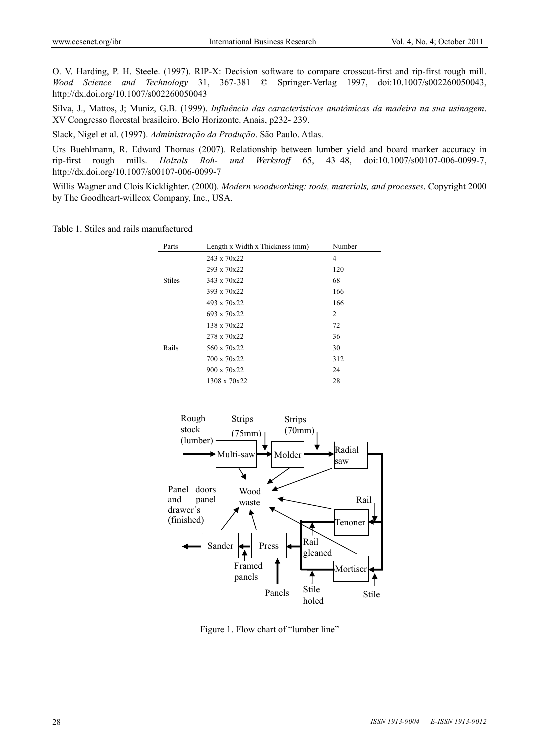O. V. Harding, P. H. Steele. (1997). RIP-X: Decision software to compare crosscut-first and rip-first rough mill. *Wood Science and Technology* 31, 367-381 © Springer-Verlag 1997, doi:10.1007/s002260050043, http://dx.doi.org/10.1007/s002260050043

Silva, J., Mattos, J; Muniz, G.B. (1999). *Influência das características anatômicas da madeira na sua usinagem*. XV Congresso florestal brasileiro. Belo Horizonte. Anais, p232- 239.

Slack, Nigel et al. (1997). *Administração da Produção*. São Paulo. Atlas.

Urs Buehlmann, R. Edward Thomas (2007). Relationship between lumber yield and board marker accuracy in rip-first rough mills. *Holzals Roh- und Werkstoff* 65, 43–48, doi:10.1007/s00107-006-0099-7, http://dx.doi.org/10.1007/s00107-006-0099-7

Willis Wagner and Clois Kicklighter. (2000). *Modern woodworking: tools, materials, and processes*. Copyright 2000 by The Goodheart-willcox Company, Inc., USA.

Table 1. Stiles and rails manufactured

| Parts         | Length x Width x Thickness (mm) | Number |
|---------------|---------------------------------|--------|
| <b>Stiles</b> | $243 \times 70 \times 22$       | 4      |
|               | $293 \times 70 \times 22$       | 120    |
|               | $343 \times 70 \times 22$       | 68     |
|               | $393 \times 70 \times 22$       | 166    |
|               | 493 x 70x22                     | 166    |
|               | $693 \times 70 \times 22$       | 2      |
| Rails         | 138 x 70x22                     | 72     |
|               | 278 x 70x22                     | 36     |
|               | $560 \times 70 \times 22$       | 30     |
|               | 700 x 70x22                     | 312    |
|               | $900 \times 70 \times 22$       | 24     |
|               | 1308 x 70x22                    | 28     |



Figure 1. Flow chart of "lumber line"